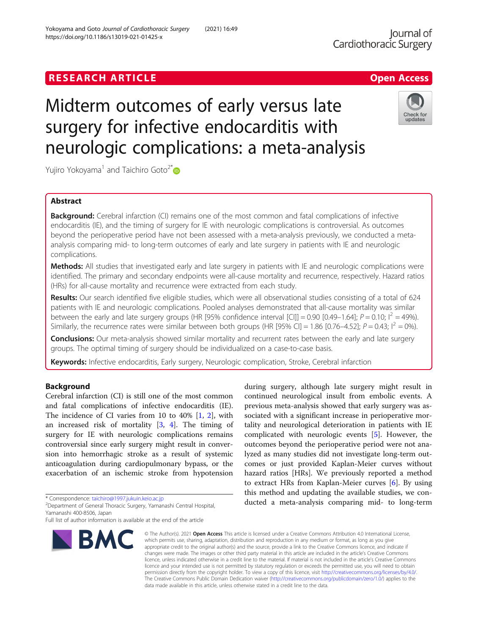# Midterm outcomes of early versus late surgery for infective endocarditis with neurologic complications: a meta-analysis

Yujiro Yokoyama<sup>1</sup> and Taichiro Goto<sup>2\*</sup>

## Abstract

**Background:** Cerebral infarction (CI) remains one of the most common and fatal complications of infective endocarditis (IE), and the timing of surgery for IE with neurologic complications is controversial. As outcomes beyond the perioperative period have not been assessed with a meta-analysis previously, we conducted a metaanalysis comparing mid- to long-term outcomes of early and late surgery in patients with IE and neurologic complications.

Methods: All studies that investigated early and late surgery in patients with IE and neurologic complications were identified. The primary and secondary endpoints were all-cause mortality and recurrence, respectively. Hazard ratios (HRs) for all-cause mortality and recurrence were extracted from each study.

Results: Our search identified five eligible studies, which were all observational studies consisting of a total of 624 patients with IE and neurologic complications. Pooled analyses demonstrated that all-cause mortality was similar between the early and late surgery groups (HR [95% confidence interval [CI]] = 0.90 [0.49–1.64];  $P = 0.10$ ;  $I^2 = 49\%$ . Similarly, the recurrence rates were similar between both groups (HR [95% CI] = 1.86 [0.76–4.52];  $P = 0.43$ ;  $I^2 = 0\%$ ).

Conclusions: Our meta-analysis showed similar mortality and recurrent rates between the early and late surgery groups. The optimal timing of surgery should be individualized on a case-to-case basis.

Keywords: Infective endocarditis, Early surgery, Neurologic complication, Stroke, Cerebral infarction

## Background

Cerebral infarction (CI) is still one of the most common and fatal complications of infective endocarditis (IE). The incidence of CI varies from 10 to 40% [\[1](#page-5-0), [2](#page-5-0)], with an increased risk of mortality  $[3, 4]$  $[3, 4]$  $[3, 4]$  $[3, 4]$ . The timing of surgery for IE with neurologic complications remains controversial since early surgery might result in conversion into hemorrhagic stroke as a result of systemic anticoagulation during cardiopulmonary bypass, or the exacerbation of an ischemic stroke from hypotension

\* Correspondence: [taichiro@1997.jukuin.keio.ac.jp](mailto:taichiro@1997.jukuin.keio.ac.jp) <sup>2</sup>

BMC

<sup>2</sup>Department of General Thoracic Surgery, Yamanashi Central Hospital, Yamanashi 400-8506, Japan

#### © The Author(s), 2021 **Open Access** This article is licensed under a Creative Commons Attribution 4.0 International License, which permits use, sharing, adaptation, distribution and reproduction in any medium or format, as long as you give appropriate credit to the original author(s) and the source, provide a link to the Creative Commons licence, and indicate if changes were made. The images or other third party material in this article are included in the article's Creative Commons licence, unless indicated otherwise in a credit line to the material. If material is not included in the article's Creative Commons licence and your intended use is not permitted by statutory regulation or exceeds the permitted use, you will need to obtain permission directly from the copyright holder. To view a copy of this licence, visit [http://creativecommons.org/licenses/by/4.0/.](http://creativecommons.org/licenses/by/4.0/) The Creative Commons Public Domain Dedication waiver [\(http://creativecommons.org/publicdomain/zero/1.0/](http://creativecommons.org/publicdomain/zero/1.0/)) applies to the data made available in this article, unless otherwise stated in a credit line to the data.

during surgery, although late surgery might result in continued neurological insult from embolic events. A previous meta-analysis showed that early surgery was associated with a significant increase in perioperative mortality and neurological deterioration in patients with IE complicated with neurologic events [[5\]](#page-5-0). However, the outcomes beyond the perioperative period were not analyzed as many studies did not investigate long-term outcomes or just provided Kaplan-Meier curves without hazard ratios [HRs]. We previously reported a method to extract HRs from Kaplan-Meier curves [\[6](#page-5-0)]. By using this method and updating the available studies, we conducted a meta-analysis comparing mid- to long-term

## **RESEARCH ARTICLE Example 2018 12:00 Department of the Contract Open Access**

Yokoyama and Goto Journal of Cardiothoracic Surgery (2021) 16:49 https://doi.org/10.1186/s13019-021-01425-x





Full list of author information is available at the end of the article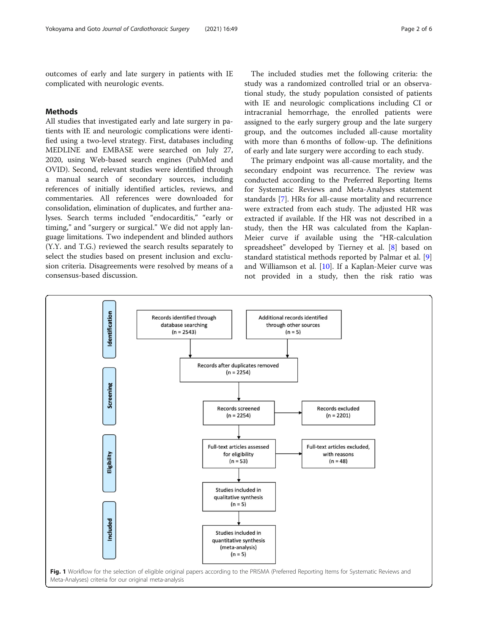<span id="page-1-0"></span>outcomes of early and late surgery in patients with IE complicated with neurologic events.

#### Methods

All studies that investigated early and late surgery in patients with IE and neurologic complications were identified using a two-level strategy. First, databases including MEDLINE and EMBASE were searched on July 27, 2020, using Web-based search engines (PubMed and OVID). Second, relevant studies were identified through a manual search of secondary sources, including references of initially identified articles, reviews, and commentaries. All references were downloaded for consolidation, elimination of duplicates, and further analyses. Search terms included "endocarditis," "early or timing," and "surgery or surgical." We did not apply language limitations. Two independent and blinded authors (Y.Y. and T.G.) reviewed the search results separately to select the studies based on present inclusion and exclusion criteria. Disagreements were resolved by means of a consensus-based discussion.

The included studies met the following criteria: the study was a randomized controlled trial or an observational study, the study population consisted of patients with IE and neurologic complications including CI or intracranial hemorrhage, the enrolled patients were assigned to the early surgery group and the late surgery group, and the outcomes included all-cause mortality with more than 6 months of follow-up. The definitions of early and late surgery were according to each study.

The primary endpoint was all-cause mortality, and the secondary endpoint was recurrence. The review was conducted according to the Preferred Reporting Items for Systematic Reviews and Meta-Analyses statement standards [[7\]](#page-5-0). HRs for all-cause mortality and recurrence were extracted from each study. The adjusted HR was extracted if available. If the HR was not described in a study, then the HR was calculated from the Kaplan-Meier curve if available using the "HR-calculation spreadsheet" developed by Tierney et al. [\[8](#page-5-0)] based on standard statistical methods reported by Palmar et al. [\[9](#page-5-0)] and Williamson et al. [\[10\]](#page-5-0). If a Kaplan-Meier curve was not provided in a study, then the risk ratio was

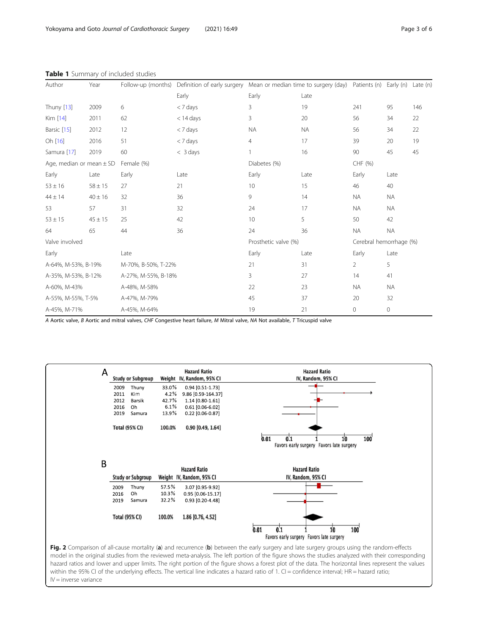| Author                       | Year        | Follow-up (months)  |                      | Definition of early surgery Mean or median time to surgery (day) Patients (n) Early (n) Late (n) |                         |                |                     |     |
|------------------------------|-------------|---------------------|----------------------|--------------------------------------------------------------------------------------------------|-------------------------|----------------|---------------------|-----|
|                              |             |                     | Early                | Early                                                                                            | Late                    |                |                     |     |
| <b>Thuny</b> [13]            | 2009        | 6                   | < 7 days             | 3                                                                                                | 19                      | 241            | 95                  | 146 |
| Kim [14]                     | 2011        | 62                  | $<$ 14 days          | 3                                                                                                | 20                      | 56             | 34                  | 22  |
| Barsic [15]                  | 2012        | 12                  | < 7 days             | <b>NA</b>                                                                                        | <b>NA</b>               | 56             | 34                  | 22  |
| Oh [16]                      | 2016        | 51                  | < 7 days             | $\overline{4}$                                                                                   | 17                      | 39             | 20                  | 19  |
| Samura [17]                  | 2019        | 60                  | $<$ 3 days           |                                                                                                  | 16                      | 90             | 45                  | 45  |
| Age, median or mean $\pm$ SD |             | Female (%)          |                      | Diabetes (%)                                                                                     |                         | CHF (%)        |                     |     |
| Early                        | Late        | Early               | Late                 | Early                                                                                            | Late                    | Early          | Late                |     |
| $53 \pm 16$                  | $58 \pm 15$ | 27                  | 21                   | 10                                                                                               | 15                      | 46             | 40                  |     |
| $44 \pm 14$                  | $40 \pm 16$ | 32                  | 36                   | 9                                                                                                | 14                      | <b>NA</b>      | <b>NA</b>           |     |
| 53                           | 57          | 31                  | 32                   | 24                                                                                               | 17                      | <b>NA</b>      | <b>NA</b>           |     |
| $53 \pm 15$                  | $45 \pm 15$ | 25                  | 42                   | 10                                                                                               | 5                       | 50             | 42                  |     |
| 64                           | 65          | 44                  | 36                   | 24                                                                                               | 36                      | <b>NA</b>      | <b>NA</b>           |     |
| Valve involved               |             |                     | Prosthetic valve (%) |                                                                                                  | Cerebral hemorrhage (%) |                |                     |     |
| Early                        |             | Late                |                      | Early                                                                                            | Late                    | Early          | Late                |     |
| A-64%, M-53%, B-19%          |             | M-70%, B-50%, T-22% |                      | 21                                                                                               | 31                      | $\overline{2}$ | 5                   |     |
| A-35%, M-53%, B-12%          |             | A-27%, M-55%, B-18% |                      | 3                                                                                                | 27                      | 14             | 41                  |     |
| A-60%, M-43%                 |             | A-48%, M-58%        |                      | 22                                                                                               | 23                      | <b>NA</b>      | <b>NA</b>           |     |
| A-55%, M-55%, T-5%           |             | A-47%, M-79%        |                      | 45                                                                                               | 37                      | 20             | 32                  |     |
| A-45%, M-71%                 |             | A-45%, M-64%        |                      | 19                                                                                               | 21                      | $\circ$        | $\mathsf{O}\xspace$ |     |

<span id="page-2-0"></span>Table 1 Summary of included studies

A Aortic valve, B Aortic and mitral valves, CHF Congestive heart failure, M Mitral valve, NA Not available, T Tricuspid valve



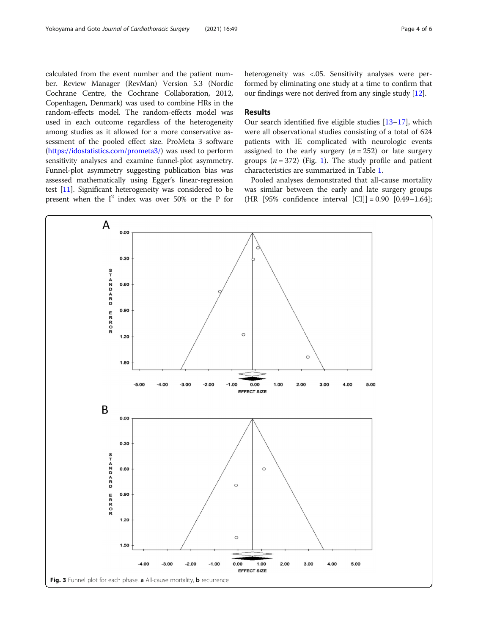<span id="page-3-0"></span>calculated from the event number and the patient number. Review Manager (RevMan) Version 5.3 (Nordic Cochrane Centre, the Cochrane Collaboration, 2012, Copenhagen, Denmark) was used to combine HRs in the random-effects model. The random-effects model was used in each outcome regardless of the heterogeneity among studies as it allowed for a more conservative assessment of the pooled effect size. ProMeta 3 software (<https://idostatistics.com/prometa3/>) was used to perform sensitivity analyses and examine funnel-plot asymmetry. Funnel-plot asymmetry suggesting publication bias was assessed mathematically using Egger's linear-regression test [\[11\]](#page-5-0). Significant heterogeneity was considered to be present when the  $I^2$  index was over 50% or the P for heterogeneity was <.05. Sensitivity analyses were performed by eliminating one study at a time to confirm that our findings were not derived from any single study [[12](#page-5-0)].

### Results

Our search identified five eligible studies [[13](#page-5-0)–[17\]](#page-5-0), which were all observational studies consisting of a total of 624 patients with IE complicated with neurologic events assigned to the early surgery  $(n = 252)$  or late surgery groups  $(n = 372)$  (Fig. [1\)](#page-1-0). The study profile and patient characteristics are summarized in Table [1.](#page-2-0)

Pooled analyses demonstrated that all-cause mortality was similar between the early and late surgery groups (HR [95% confidence interval [CI]] = 0.90 [0.49–1.64];

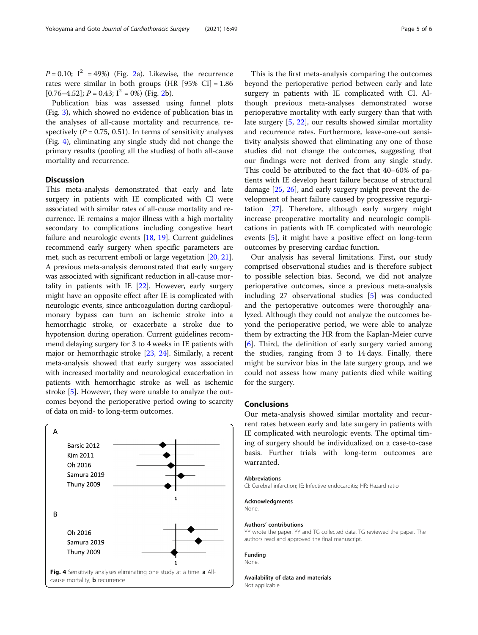$P = 0.10$ ;  $I^2 = 49\%$  $I^2 = 49\%$  $I^2 = 49\%$ ) (Fig. 2a). Likewise, the recurrence rates were similar in both groups  $(HR [95\% CI] = 1.86$  $[0.76-4.52]$ ;  $P = 0.43$ ;  $I^2 = 0\%$ ) (Fig. [2b](#page-2-0)).

Publication bias was assessed using funnel plots (Fig. [3](#page-3-0)), which showed no evidence of publication bias in the analyses of all-cause mortality and recurrence, respectively ( $P = 0.75$ , 0.51). In terms of sensitivity analyses (Fig. 4), eliminating any single study did not change the primary results (pooling all the studies) of both all-cause mortality and recurrence.

### **Discussion**

This meta-analysis demonstrated that early and late surgery in patients with IE complicated with CI were associated with similar rates of all-cause mortality and recurrence. IE remains a major illness with a high mortality secondary to complications including congestive heart failure and neurologic events [[18](#page-5-0), [19](#page-5-0)]. Current guidelines recommend early surgery when specific parameters are met, such as recurrent emboli or large vegetation [\[20,](#page-5-0) [21](#page-5-0)]. A previous meta-analysis demonstrated that early surgery was associated with significant reduction in all-cause mortality in patients with IE  $[22]$  $[22]$  $[22]$ . However, early surgery might have an opposite effect after IE is complicated with neurologic events, since anticoagulation during cardiopulmonary bypass can turn an ischemic stroke into a hemorrhagic stroke, or exacerbate a stroke due to hypotension during operation. Current guidelines recommend delaying surgery for 3 to 4 weeks in IE patients with major or hemorrhagic stroke [\[23,](#page-5-0) [24](#page-5-0)]. Similarly, a recent meta-analysis showed that early surgery was associated with increased mortality and neurological exacerbation in patients with hemorrhagic stroke as well as ischemic stroke [\[5](#page-5-0)]. However, they were unable to analyze the outcomes beyond the perioperative period owing to scarcity of data on mid- to long-term outcomes.



This is the first meta-analysis comparing the outcomes beyond the perioperative period between early and late surgery in patients with IE complicated with CI. Although previous meta-analyses demonstrated worse perioperative mortality with early surgery than that with late surgery [\[5](#page-5-0), [22\]](#page-5-0), our results showed similar mortality and recurrence rates. Furthermore, leave-one-out sensitivity analysis showed that eliminating any one of those studies did not change the outcomes, suggesting that our findings were not derived from any single study. This could be attributed to the fact that 40–60% of patients with IE develop heart failure because of structural damage [\[25](#page-5-0), [26\]](#page-5-0), and early surgery might prevent the development of heart failure caused by progressive regurgitation [\[27](#page-5-0)]. Therefore, although early surgery might increase preoperative mortality and neurologic complications in patients with IE complicated with neurologic events [[5\]](#page-5-0), it might have a positive effect on long-term outcomes by preserving cardiac function.

Our analysis has several limitations. First, our study comprised observational studies and is therefore subject to possible selection bias. Second, we did not analyze perioperative outcomes, since a previous meta-analysis including 27 observational studies [\[5](#page-5-0)] was conducted and the perioperative outcomes were thoroughly analyzed. Although they could not analyze the outcomes beyond the perioperative period, we were able to analyze them by extracting the HR from the Kaplan-Meier curve [[6\]](#page-5-0). Third, the definition of early surgery varied among the studies, ranging from 3 to 14 days. Finally, there might be survivor bias in the late surgery group, and we could not assess how many patients died while waiting for the surgery.

#### Conclusions

Our meta-analysis showed similar mortality and recurrent rates between early and late surgery in patients with IE complicated with neurologic events. The optimal timing of surgery should be individualized on a case-to-case basis. Further trials with long-term outcomes are warranted.

#### Abbreviations

CI: Cerebral infarction; IE: Infective endocarditis; HR: Hazard ratio

#### Acknowledgments None.

#### Authors' contributions

YY wrote the paper. YY and TG collected data. TG reviewed the paper. The authors read and approved the final manuscript.

#### Funding

None.

Availability of data and materials Not applicable.